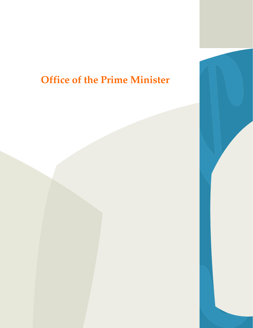# **Office of the Prime Minister**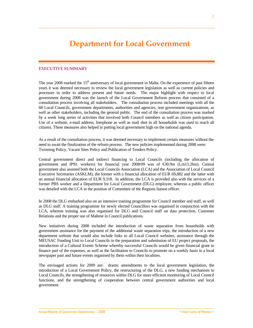### **EXECUTIVE SUMMARY**

The year 2008 marked the 15<sup>th</sup> anniversary of local government in Malta. On the experience of past fifteen years it was deemed necessary to review the local government legislation as well as current policies and processes in order to address present and future needs. The major highlight with respect to local government during 2008 was the launch of the Local Government Reform process that consisted of a consultation process involving all stakeholders. The consultation process included meetings with all the 68 Local Councils, government departments, authorities and agencies, non government organizations, as well as other stakeholders, including the general public. The end of the consultation process was marked by a week long series of activities that involved both Council members as well as citizen participation. Use of a website, e-mail address, freephone as well as mail shot in all households was used to reach all citizens. These measures also helped in putting local government high on the national agenda.

As a result of the consultation process, it was deemed necessary to implement certain measures without the need to await the finalization of the reform process. The new policies implemented during 2008 were: Twinning Policy, Vacant Sites Policy and Publication of Tenders Policy.

Central government direct and indirect financing to Local Councils (including the allocation of government and IPSL workers) for financial year 2008/09 was of €30.9m (Lm13.26m). Central government also assisted both the Local Councils Association (LCA) and the Association of Local Council Executive Secretaries (ASKLM), the former with a financial allocation of EUR 69,882 and the latter with an annual financial allocation of EUR 9,318. In addition, the LCA is provided also with the services of a former PBS worker and a Department for Local Government (DLG) employee, whereas a public officer was detailed with the LCA in the position of Committee of the Regions liaison officer.

In 2008 the DLG embarked also on an intensive training programme for Council member and staff, as well as DLG staff. A training programme for newly elected Councillors was organised in conjunction with the LCA, whereas training was also organised for DLG and Council staff on data protection, Customer Relations and the proper use of Maltese in Council publications.

New initiatives during 2008 included the introduction of waste separation from households with government assistance for the payment of the additional waste separation trips, the introduction of a new department website that would also include links to all Local Council websites, assistance through the MEUSAC Funding Unit to Local Councils in the preparation and submission of EU project proposals, the introduction of a Cultural Events Scheme whereby successful Councils would be given financial grant to finance part of the expenses, as well as the facilitation to Councils to promote on a weekly basis in a local newspaper past and future events organised by them within their localities.

The envisaged actions for 2009 are: drastic amendments to the local government legislation, the introduction of a Local Government Policy, the restructuring of the DLG, a new funding mechanism to Local Councils, the strengthening of resources within DLG for more efficient monitoring of Local Council functions, and the strengthening of cooperation between central government authorities and local government.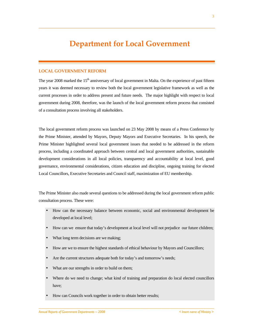# **LOCAL GOVERNMENT REFORM**

The year 2008 marked the  $15<sup>th</sup>$  anniversary of local government in Malta. On the experience of past fifteen years it was deemed necessary to review both the local government legislative framework as well as the current processes in order to address present and future needs. The major highlight with respect to local government during 2008, therefore, was the launch of the local government reform process that consisted of a consultation process involving all stakeholders.

The local government reform process was launched on 23 May 2008 by means of a Press Conference by the Prime Minister, attended by Mayors, Deputy Mayors and Executive Secretaries. In his speech, the Prime Minister highlighted several local government issues that needed to be addressed in the reform process, including a coordinated approach between central and local government authorities, sustainable development considerations in all local policies, transparency and accountability at local level, good governance, environmental considerations, citizen education and discipline, ongoing training for elected Local Councillors, Executive Secretaries and Council staff, maximization of EU membership.

The Prime Minister also made several questions to be addressed during the local government reform public consultation process. These were:

- How can the necessary balance between economic, social and environmental development be developed at local level;
- How can we ensure that today's development at local level will not prejudice our future children;
- What long term decisions are we making;
- How are we to ensure the highest standards of ethical behaviour by Mayors and Councillors;
- Are the current structures adequate both for today's and tomorrow's needs;
- What are our strengths in order to build on them;
- Where do we need to change; what kind of training and preparation do local elected councillors have;
- How can Councils work together in order to obtain better results;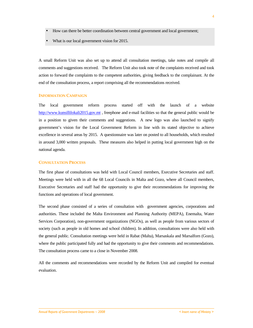- How can there be better coordination between central government and local government;
- What is our local government vision for 2015.

A small Reform Unit was also set up to attend all consultation meetings, take notes and compile all comments and suggestions received. The Reform Unit also took note of the complaints received and took action to forward the complaints to the competent authorities, giving feedback to the complainant. At the end of the consultation process, a report comprising all the recommendations received.

## **INFORMATION CAMPAIGN**

The local government reform process started off with the launch of a website http://www.kunsillilokali2015.gov.mt, freephone and e-mail facilities so that the general public would be in a position to given their comments and suggestions. A new logo was also launched to signify government's vision for the Local Government Reform in line with its stated objective to achieve excellence in several areas by 2015. A questionnaire was later on posted to all households, which resulted in around 3,000 written proposals. These measures also helped in putting local government high on the national agenda.

#### **CONSULTATION PROCESS**

The first phase of consultations was held with Local Council members, Executive Secretaries and staff. Meetings were held with in all the 68 Local Councils in Malta and Gozo, where all Council members, Executive Secretaries and staff had the opportunity to give their recommendations for improving the functions and operations of local government.

The second phase consisted of a series of consultation with government agencies, corporations and authorities. These included the Malta Environment and Planning Authority (MEPA), Enemalta, Water Services Corporation), non-government organizations (NGOs), as well as people from various sectors of society (such as people in old homes and school children). In addition, consultations were also held with the general public. Consultation meetings were held in Rabat (Malta), Marsaskala and Marsalforn (Gozo), where the public participated fully and had the opportunity to give their comments and recommendations. The consultation process came to a close in November 2008.

All the comments and recommendations were recorded by the Reform Unit and compiled for eventual evaluation.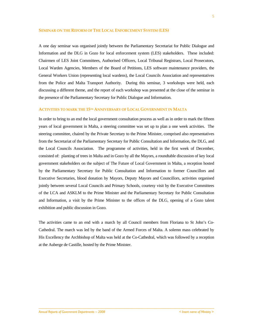#### **SEMINAR ON THE REFORM OF THE LOCAL ENFORCEMENT SYSTEM (LES)**

A one day seminar was organised jointly between the Parliamentary Secretariat for Public Dialogue and Information and the DLG in Gozo for local enforcement system (LES) stakeholders. These included: Chairmen of LES Joint Committees, Authorised Officers, Local Tribunal Registrars, Local Prosecutors, Local Warden Agencies, Members of the Board of Petitions, LES software maintenance providers, the General Workers Union (representing local wardens), the Local Councils Association and representatives from the Police and Malta Transport Authority. During this seminar, 3 workshops were held, each discussing a different theme, and the report of each workshop was presented at the close of the seminar in the presence of the Parliamentary Secretary for Public Dialogue and Information.

### **ACTIVITIES TO MARK THE 15TH ANNIVERSARY OF LOCAL GOVERNMENT IN MALTA**

In order to bring to an end the local government consultation process as well as in order to mark the fifteen years of local government in Malta, a steering committee was set up to plan a one week activities. The steering committee, chaired by the Private Secretary to the Prime Minister, comprised also representatives from the Secretariat of the Parliamentary Secretary for Public Consultation and Information, the DLG, and the Local Councils Association. The programme of activities, held in the first week of December, consisted of: planting of trees in Malta and in Gozo by all the Mayors, a roundtable discussion of key local government stakeholders on the subject of The Future of Local Government in Malta, a reception hosted by the Parliamentary Secretary for Public Consultation and Information to former Councillors and Executive Secretaries, blood donation by Mayors, Deputy Mayors and Councillors, activities organised jointly between several Local Councils and Primary Schools, courtesy visit by the Executive Committees of the LCA and ASKLM to the Prime Minister and the Parliamentary Secretary for Public Consultation and Information, a visit by the Prime Minister to the offices of the DLG, opening of a Gozo talent exhibition and public discussion in Gozo.

The activities came to an end with a march by all Council members from Floriana to St John's Co-Cathedral. The march was led by the band of the Armed Forces of Malta. A solemn mass celebrated by His Excellency the Archbishop of Malta was held at the Co-Cathedral, which was followed by a reception at the Auberge de Castille, hosted by the Prime Minister.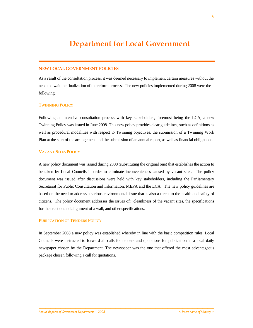# **NEW LOCAL GOVERNMENT POLICIES**

As a result of the consultation process, it was deemed necessary to implement certain measures without the need to await the finalization of the reform process. The new policies implemented during 2008 were the following.

### **TWINNING POLICY**

Following an intensive consultation process with key stakeholders, foremost being the LCA, a new Twinning Policy was issued in June 2008. This new policy provides clear guidelines, such as definitions as well as procedural modalities with respect to Twinning objectives, the submission of a Twinning Work Plan at the start of the arrangement and the submission of an annual report, as well as financial obligations.

### **VACANT SITES POLICY**

A new policy document was issued during 2008 (substituting the original one) that establishes the action to be taken by Local Councils in order to eliminate inconveniences caused by vacant sites. The policy document was issued after discussions were held with key stakeholders, including the Parliamentary Secretariat for Public Consultation and Information, MEPA and the LCA. The new policy guidelines are based on the need to address a serious environmental issue that is also a threat to the health and safety of citizens. The policy document addresses the issues of: cleanliness of the vacant sites, the specifications for the erection and alignment of a wall, and other specifications.

### **PUBLICATION OF TENDERS POLICY**

In September 2008 a new policy was established whereby in line with the basic competition rules, Local Councils were instructed to forward all calls for tenders and quotations for publication in a local daily newspaper chosen by the Department. The newspaper was the one that offered the most advantageous package chosen following a call for quotations.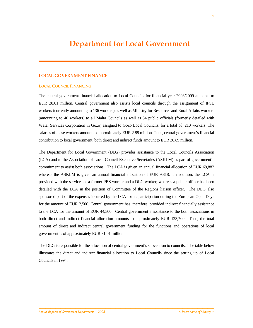#### **LOCAL GOVERNMENT FINANCE**

#### **LOCAL COUNCIL FINANCING**

The central government financial allocation to Local Councils for financial year 2008/2009 amounts to EUR 28.01 million. Central government also assists local councils through the assignment of IPSL workers (currently amounting to 136 workers) as well as Ministry for Resources and Rural Affairs workers (amounting to 40 workers) to all Malta Councils as well as 34 public officials (formerly detailed with Water Services Corporation in Gozo) assigned to Gozo Local Councils, for a total of 210 workers. The salaries of these workers amount to approximately EUR 2.88 million. Thus, central government's financial contribution to local government, both direct and indirect funds amount to EUR 30.89 million.

The Department for Local Government (DLG) provides assistance to the Local Councils Association (LCA) and to the Association of Local Council Executive Secretaries (ASKLM) as part of government's commitment to assist both associations. The LCA is given an annual financial allocation of EUR 69,882 whereas the ASKLM is given an annual financial allocation of EUR 9,318. In addition, the LCA is provided with the services of a former PBS worker and a DLG worker, whereas a public officer has been detailed with the LCA in the position of Committee of the Regions liaison officer. The DLG also sponsored part of the expenses incurred by the LCA for its participation during the European Open Days for the amount of EUR 2,500. Central government has, therefore, provided indirect financially assistance to the LCA for the amount of EUR 44,500. Central government's assistance to the both associations in both direct and indirect financial allocation amounts to approximately EUR 123,700. Thus, the total amount of direct and indirect central government funding for the functions and operations of local government is of approximately EUR 31.01 million.

The DLG is responsible for the allocation of central government's subvention to councils. The table below illustrates the direct and indirect financial allocation to Local Councils since the setting up of Local Councils in 1994.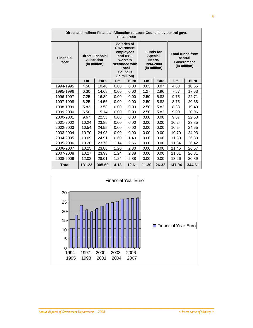| Direct and Indirect Financial Allocation to Local Councils by central govt.<br>$1994 - 2008$ |                                                              |        |                                                                                                                                   |       |                                                                                 |       |                                                                  |        |  |  |  |  |
|----------------------------------------------------------------------------------------------|--------------------------------------------------------------|--------|-----------------------------------------------------------------------------------------------------------------------------------|-------|---------------------------------------------------------------------------------|-------|------------------------------------------------------------------|--------|--|--|--|--|
| <b>Financial</b><br>Year                                                                     | <b>Direct Financial</b><br><b>Allocation</b><br>(in million) |        | Salaries of<br>Government<br>employees<br>and <b>IPSL</b><br>workers<br>seconded with<br>Local<br><b>Councils</b><br>(in million) |       | <b>Funds for</b><br><b>Special</b><br><b>Needs</b><br>1994-2000<br>(in million) |       | <b>Total funds from</b><br>central<br>Government<br>(in million) |        |  |  |  |  |
|                                                                                              | Lm                                                           | Euro   | Lm                                                                                                                                | Euro  | Lm                                                                              | Euro  | Lm                                                               | Euro   |  |  |  |  |
| 1994-1995                                                                                    | 4.50                                                         | 10.48  | 0.00                                                                                                                              | 0.00  | 0.03                                                                            | 0.07  | 4.53                                                             | 10.55  |  |  |  |  |
| 1995-1996                                                                                    | 6.30                                                         | 14.68  | 0.00                                                                                                                              | 0.00  | 1.27                                                                            | 2.96  | 7.57                                                             | 17.63  |  |  |  |  |
| 1996-1997                                                                                    | 7.25                                                         | 16.89  | 0.00                                                                                                                              | 0.00  | 2.50                                                                            | 5.82  | 9.75                                                             | 22.71  |  |  |  |  |
| 1997-1998                                                                                    | 6.25                                                         | 14.56  | 0.00                                                                                                                              | 0.00  | 2.50                                                                            | 5.82  | 8.75                                                             | 20.38  |  |  |  |  |
| 1998-1999                                                                                    | 5.83                                                         | 13.58  | 0.00                                                                                                                              | 0.00  | 2.50                                                                            | 5.82  | 8.33                                                             | 19.40  |  |  |  |  |
| 1999-2000                                                                                    | 6.50                                                         | 15.14  | 0.00                                                                                                                              | 0.00  | 2.50                                                                            | 5.82  | 9.00                                                             | 20.96  |  |  |  |  |
| 2000-2001                                                                                    | 9.67                                                         | 22.53  | 0.00                                                                                                                              | 0.00  | 0.00                                                                            | 0.00  | 9.67                                                             | 22.53  |  |  |  |  |
| 2001-2002                                                                                    | 10.24                                                        | 23.85  | 0.00                                                                                                                              | 0.00  | 0.00                                                                            | 0.00  | 10.24                                                            | 23.85  |  |  |  |  |
| 2002-2003                                                                                    | 10.54                                                        | 24.55  | 0.00                                                                                                                              | 0.00  | 0.00                                                                            | 0.00  | 10.54                                                            | 24.55  |  |  |  |  |
| 2003-2004                                                                                    | 10.70                                                        | 24.93  | 0.00                                                                                                                              | 0.00  | 0.00                                                                            | 0.00  | 10.70                                                            | 24.93  |  |  |  |  |
| 2004-2005                                                                                    | 10.69                                                        | 24.91  | 0.60                                                                                                                              | 1.40  | 0.00                                                                            | 0.00  | 11.30                                                            | 26.33  |  |  |  |  |
| 2005-2006                                                                                    | 10.20                                                        | 23.76  | 1.14                                                                                                                              | 2.66  | 0.00                                                                            | 0.00  | 11.34                                                            | 26.42  |  |  |  |  |
| 2006-2007                                                                                    | 10.25                                                        | 23.88  | 1.20                                                                                                                              | 2.80  | 0.00                                                                            | 0.00  | 11.45                                                            | 26.67  |  |  |  |  |
| 2007-2008                                                                                    | 10.27                                                        | 23.93  | 1.24                                                                                                                              | 2.88  | 0.00                                                                            | 0.00  | 11.51                                                            | 26.81  |  |  |  |  |
| 2008-2009                                                                                    | 12.02                                                        | 28.01  | 1.24                                                                                                                              | 2.88  | 0.00                                                                            | 0.00  | 13.26                                                            | 30.89  |  |  |  |  |
| <b>Total</b>                                                                                 | 131.23                                                       | 305.69 | 4.18                                                                                                                              | 12.61 | 11.30                                                                           | 26.32 | 147.94                                                           | 344.61 |  |  |  |  |

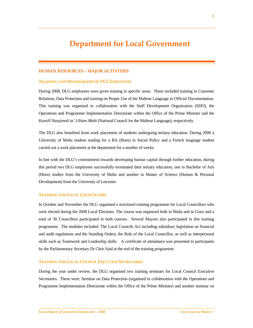### **HUMAN RESOURCES – MAJOR ACTIVITIES**

#### **TRAINING AND SPONSORSHIP OF DLG EMPLOYEES**

During 2008, DLG employees were given training in specific areas. These included training in Customer Relations, Data Protection and training on Proper Use of the Maltese Language in Official Documentation. This training was organised in collaboration with the Staff Development Organisation (SDO), the Operations and Programme Implementation Directorate within the Office of the Prime Minister and the *Kunsill Nazzjonali ta' l-Ilsien Malti* (National Council for the Maltese Language), respectively.

The DLG also benefited from work placement of students undergoing tertiary education. During 2008 a University of Malta student reading for a BA (Hons) in Social Policy and a French language student carried out a work placement at the department for a number of weeks.

In line with the DLG's commitment towards developing human capital through further education, during this period two DLG employees successfully terminated their tertiary education, one in Bachelor of Arts (Hons) studies from the University of Malta and another in Master of Science (Human & Personal Development) from the University of Leicester.

### **TRAINING FOR LOCAL COUNCILLORS**

In October and November the DLG organised a structured training programme for Local Councillors who were elected during the 2008 Local Elections. The course was organised both in Malta and in Gozo and a total of 30 Councillors participated in both courses. Several Mayors also participated in this training programme. The modules included: The Local Councils Act including subsidiary legislation on financial and audit regulations and the Standing Orders, the Role of the Local Councillor, as well as interpersonal skills such as Teamwork and Leadership skills. A certificate of attendance was presented to participants by the Parliamentary Secretary Dr Chris Said at the end of the training programme.

#### **TRAINING FOR LOCAL COUNCIL EXECUTIVE SECRETARIES**

During the year under review, the DLG organised two training seminars for Local Council Executive Secretaries. These were: Seminar on Data Protection (organised in collaboration with the Operations and Programme Implementation Directorate within the Office of the Prime Minister) and another seminar on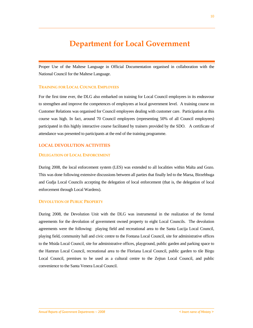Proper Use of the Maltese Language in Official Documentation organised in collaboration with the National Council for the Maltese Language.

### **TRAINING FOR LOCAL COUNCIL EMPLOYEES**

For the first time ever, the DLG also embarked on training for Local Council employees in its endeavour to strengthen and improve the competences of employees at local government level. A training course on Customer Relations was organised for Council employees dealing with customer care. Participation at this course was high. In fact, around 70 Council employees (representing 50% of all Council employees) participated in this highly interactive course facilitated by trainers provided by the SDO. A certificate of attendance was presented to participants at the end of the training programme.

# **LOCAL DEVOLUTION ACTIVITIES**

### **DELEGATION OF LOCAL ENFORCEMENT**

During 2008, the local enforcement system (LES) was extended to all localities within Malta and Gozo. This was done following extensive discussions between all parties that finally led to the Marsa, Birzebbuga and Gudja Local Councils accepting the delegation of local enforcement (that is, the delegation of local enforcement through Local Wardens).

### **DEVOLUTION OF PUBLIC PROPERTY**

During 2008, the Devolution Unit with the DLG was instrumental in the realization of the formal agreements for the devolution of government owned property to eight Local Councils. The devolution agreements were the following: playing field and recreational area to the Santa Lucija Local Council, playing field, community hall and civic centre to the Fontana Local Council, site for administrative offices to the Msida Local Council, site for administrative offices, playground, public garden and parking space to the Hamrun Local Council, recreational area to the Floriana Local Council, public garden to tile Birgu Local Council, premises to be used as a cultural centre to the Zejtun Local Council, and public convenience to the Santa Venera Local Council.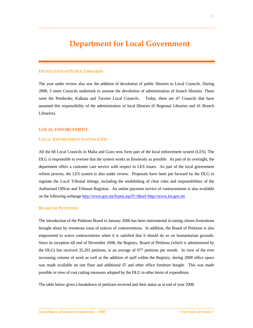#### **DEVOLUTION OF PUBLIC LIBRARIES**

The year under review also saw the addition of devolution of public libraries to Local Councils. During 2008, 3 more Councils undertook to assume the devolution of administration of branch libraries. These were the Pembroke, Kalkara and Tarxien Local Councils. Today, there are 47 Councils that have assumed this responsibility of the administration of local libraries (6 Regional Libraries and 41 Branch Libraries).

### **LOCAL ENFORCEMENT**

#### **LOCAL ENFORCEMENT SYSTEM (LES)**

All the 68 Local Councils in Malta and Gozo now form part of the local enforcement system (LES). The DLG is responsible to oversee that the system works as flawlessly as possible. As part of its oversight, the department offers a customer care service with respect to LES issues. As part of the local government reform process, the LES system is also under review. Proposals have been put forward by the DLG to regulate the Local Tribunal sittings, including the establishing of clear roles and responsibilities of the Authorised Officer and Tribunal Registrar. An online payment service of contraventions is also available on the following webpage http://www.gov.mt/frame.asp?l=1&url=http://www.les.gov.mt

### **BOARD OF PETITIONS**

The introduction of the Petitions Board in January 2006 has been instrumental in easing citizen frustrations brought about by erroneous issue of notices of contraventions. In addition, the Board of Petitions is also empowered to waive contraventions when it is satisfied that it should do so on humanitarian grounds. Since its inception till end of November 2008, the Registry, Board of Petitions (which is administered by the DLG) has received 35,203 petitions, ie an average of 977 petitions per month. In view of the ever increasing volume of work as well as the addition of staff within the Registry, during 2008 office space was made available on one floor and additional IT and other office furniture bought. This was made possible in view of cost cutting measures adopted by the DLG in other items of expenditure.

The table below gives a breakdown of petitions received and their status as at end of year 2008.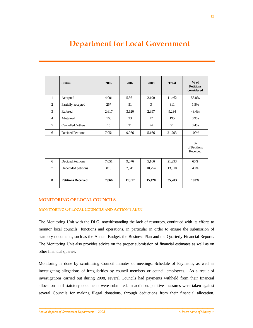|                | <b>Status</b>             | 2006  | 2007   | 2008   | <b>Total</b> | $%$ of<br><b>Petitions</b><br>considered |
|----------------|---------------------------|-------|--------|--------|--------------|------------------------------------------|
| $\mathbf{1}$   | Accepted                  | 4,001 | 5,361  | 2,100  | 11,462       | 53.8%                                    |
| $\overline{2}$ | Partially accepted        | 257   | 51     | 3      | 311          | 1.5%                                     |
| 3              | Refused                   | 2,617 | 3,620  | 2,997  | 9,234        | 43.4%                                    |
| $\overline{4}$ | Abstained                 | 160   | 23     | 12     | 195          | 0.9%                                     |
| 5              | Cancelled / others        | 16    | 21     | 54     | 91           | 0.4%                                     |
| 6              | <b>Decided Petitions</b>  | 7,051 | 9,076  | 5,166  | 21,293       | 100%                                     |
|                |                           |       |        |        |              | $\%$<br>of Petitions<br>Received         |
| 6              | <b>Decided Petitions</b>  | 7,051 | 9,076  | 5,166  | 21,293       | 60%                                      |
| $\tau$         | Undecided petitions       | 815   | 2,841  | 10,254 | 13,910       | 40%                                      |
| 8              | <b>Petitions Received</b> | 7,866 | 11,917 | 15,420 | 35,203       | 100%                                     |

# **MONITORING OF LOCAL COUNCILS**

# **MONITORING OF LOCAL COUNCILS AND ACTION TAKEN**

The Monitoring Unit with the DLG, notwithstanding the lack of resources, continued with its efforts to monitor local councils' functions and operations, in particular in order to ensure the submission of statutory documents, such as the Annual Budget, the Business Plan and the Quarterly Financial Reports. The Monitoring Unit also provides advice on the proper submission of financial estimates as well as on other financial queries.

Monitoring is done by scrutinising Council minutes of meetings, Schedule of Payments, as well as investigating allegations of irregularities by council members or council employees. As a result of investigations carried out during 2008, several Councils had payments withheld from their financial allocation until statutory documents were submitted. In addition, punitive measures were taken against several Councils for making illegal donations, through deductions from their financial allocation.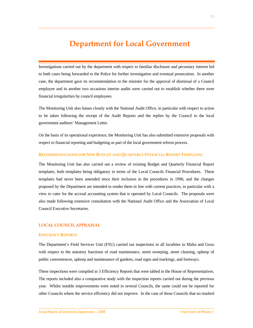Investigations carried out by the department with respect to familiar disclosure and pecuniary interest led to both cases being forwarded to the Police for further investigation and eventual prosecution. In another case, the department gave its recommendation to the minister for the approval of dismissal of a Council employee and in another two occasions interim audits were carried out to establish whether there were financial irregularities by council employees.

The Monitoring Unit also liaises closely with the National Audit Office, in particular with respect to action to be taken following the receipt of the Audit Reports and the replies by the Council to the local government auditors' Management Letter.

On the basis of its operational experience, the Monitoring Unit has also submitted extensive proposals with respect to financial reporting and budgeting as part of the local government reform process.

#### **RECOMMENDATIONS FOR NEW BUDGET AND QUARTERLY FINANCIAL REPORT TEMPLATES**

The Monitoring Unit has also carried out a review of existing Budget and Quarterly Financial Report templates, both templates being obligatory in terms of the Local Councils Financial Procedures. These templates had never been amended since their inclusion in the procedures in 1996, and the changes proposed by the Department are intended to render them in line with current practices, in particular with a view to cater for the accrual accounting system that is operated by Local Councils. The proposals were also made following extensive consultation with the National Audit Office and the Association of Local Council Executive Secretaries.

#### **LOCAL COUNCIL APPRAISAL**

#### **EFFICIENCY REPORTS**

The Department's Field Services Unit (FSU) carried out inspections in all localities in Malta and Gozo with respect to the statutory functions of road maintenance, street sweeping, street cleaning, upkeep of public conveniences, upkeep and maintenance of gardens, road signs and markings, and footways.

These inspections were compiled in 3 Efficiency Reports that were tabled in the House of Representatives. The reports included also a comparative study with the inspection reports carried out during the previous year. Whilst notable improvements were noted in several Councils, the same could not be reported for other Councils where the service efficiency did not improve. In the case of those Councils that no marked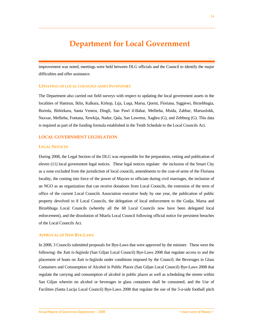improvement was noted, meetings were held between DLG officials and the Council to identify the major difficulties and offer assistance.

#### **UPDATING OF LOCAL COUNCILS ASSET INVENTORY**

The Department also carried out field surveys with respect to updating the local government assets in the localities of Hamrun, Iklin, Kalkara, Kirkop, Lija, Luqa, Marsa, Qormi, Floriana, Siggiewi, Birzebbugia, Bormla, Birkirkara, Santa Venera, Dingli, San Pawl il-Bahar, Mellieha, Msida, Zabbar, Marsaxlokk, Naxxar, Mellieha, Fontana, Xewkija, Nadur, Qala, San Lawrenz, Xaghra (G), and Zebburg (G). This data is required as part of the funding formula established in the Tenth Schedule to the Local Councils Act.

### **LOCAL GOVERNMENT LEGISLATION**

#### **LEGAL NOTICES**

During 2008, the Legal Section of the DLG was responsible for the preparation, vetting and publication of eleven (11) local government legal notices. These legal notices regulate: the inclusion of the Smart City as a zone excluded from the jurisdiction of local councils, amendments to the coat-of-arms of the Floriana locality, the coming into force of the power of Mayors to officiate during civil marriages, the inclusion of an NGO as an organization that can receive donations from Local Councils, the extension of the term of office of the current Local Councils Association executive body by one year, the publication of public property devolved to 8 Local Councils, the delegation of local enforcement to the Gudja, Marsa and Birzebbuga Local Councils (whereby all the 68 Local Councils now have been delegated local enforcement), and the dissolution of Mtarfa Local Council following official notice for persistent breaches of the Local Councils Act.

#### **APPROVAL OF NEW BYE-LAWS**

In 2008, 3 Councils submitted proposals for Bye-Laws that were approved by the minister. These were the following: the *Xatt is-Sajjieda* (San Giljan Local Council) Bye-Laws 2008 that regulate access to and the placement of boats on *Xatt is-Sajjieda* under conditions imposed by the Council; the Beverages in Glass Containers and Consumption of Alcohol in Public Places (San Giljan Local Council) Bye-Laws 2008 that regulate the carrying and consumption of alcohol in public places as well as scheduling the streets within San Giljan wherein no alcohol or beverages in glass containers shall be consumed; and the Use of Facilities (Santa Lucija Local Council) Bye-Laws 2008 that regulate the use of the 5-a-side football pitch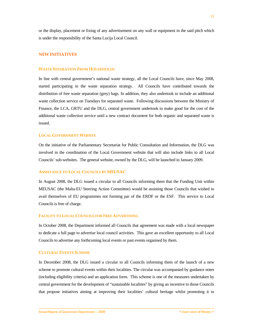or the display, placement or fixing of any advertisement on any wall or equipment in the said pitch which is under the responsibility of the Santa Lucija Local Council.

### **NEW INITIATIVES**

### **WASTE SEPARATION FROM HOUSEHOLDS**

In line with central government's national waste strategy, all the Local Councils have, since May 2008, started participating in the waste separation strategy. All Councils have contributed towards the distribution of free waste separation (grey) bags. In addition, they also undertook to include an additional waste collection service on Tuesdays for separated waste. Following discussions between the Ministry of Finance, the LCA, GRTU and the DLG, central government undertook to make good for the cost of the additional waste collection service until a new contract document for both organic and separated waste is issued.

#### **LOCAL GOVERNMENT WEBSITE**

On the initiative of the Parliamentary Secretariat for Public Consultation and Information, the DLG was involved in the coordination of the Local Government website that will also include links to all Local Councils' sub-websites. The general website, owned by the DLG, will be launched in January 2009.

#### **ASSISTANCE TO LOCAL COUNCILS BY MEUSAC**

In August 2008, the DLG issued a circular to all Councils informing them that the Funding Unit within MEUSAC (the Malta-EU Steering Action Committee) would be assisting those Councils that wished to avail themselves of EU programmes not forming par of the ERDF or the ESF. This service to Local Councils is free of charge.

#### **FACILITY TO LOCAL COUNCILS FOR FREE ADVERTISING**

In October 2008, the Department informed all Councils that agreement was made with a local newspaper to dedicate a full page to advertise local council activities. This gave an excellent opportunity to all Local Councils to advertise any forthcoming local events or past events organised by them.

#### **CULTURAL EVENTS SCHEME**

In December 2008, the DLG issued a circular to all Councils informing them of the launch of a new scheme to promote cultural events within their localities. The circular was accompanied by guidance notes (including eligibility criteria) and an application form. This scheme is one of the measures undertaken by central government for the development of "sustainable localities" by giving an incentive to those Councils that propose initiatives aiming at improving their localities' cultural heritage whilst promoting it to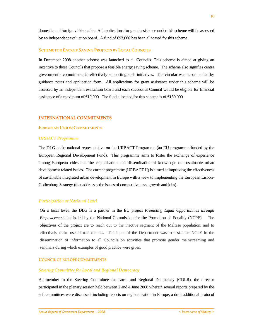domestic and foreign visitors alike. All applications for grant assistance under this scheme will be assessed by an independent evaluation board. A fund of  $\epsilon$ 93,000 has been allocated for this scheme.

#### **SCHEME FOR ENERGY SAVING PROJECTS BY LOCAL COUNCILS**

In December 2008 another scheme was launched to all Councils. This scheme is aimed at giving an incentive to those Councils that propose a feasible energy saving scheme. The scheme also signifies centra government's commitment in effectively supporting such initiatives. The circular was accompanied by guidance notes and application form. All applications for grant assistance under this scheme will be assessed by an independent evaluation board and each successful Council would be eligible for financial assistance of a maximum of  $\epsilon$ 10,000. The fund allocated for this scheme is of  $\epsilon$ 150,000.

#### **INTERNATIONAL COMMITMENTS**

# **EUROPEAN UNION COMMITMENTS**

#### *URBACT Programme*

The DLG is the national representative on the URBACT Programme (an EU programme funded by the European Regional Development Fund). This programme aims to foster the exchange of experience among European cities and the capitalisation and dissemination of knowledge on sustainable urban development related issues. The current programme (URBACT II) is aimed at improving the effectiveness of sustainable integrated urban development in Europe with a view to implementing the European Lisbon-Gothenburg Strategy (that addresses the issues of competitiveness, growth and jobs).

#### *Participation at National Level*

On a local level, the DLG is a partner in the EU project *Promoting Equal Opportunities through Empowerment* that is led by the National Commission for the Promotion of Equality (NCPE). The objectives of the project are to reach out to the inactive segment of the Maltese population, and to effectively make use of role models. The input of the Department was to assist the NCPE in the dissemination of information to all Councils on activities that promote gender mainstreaming and seminars during which examples of good practice were given.

# **COUNCIL OF EUROPE COMMITMENTS**

#### *Steering Committee for Local and Regional Democracy*

As member in the Steering Committee for Local and Regional Democracy (CDLR), the director participated in the plenary session held between 2 and 4 June 2008 wherein several reports prepared by the sub committees were discussed, including reports on regionalisation in Europe, a draft additional protocol